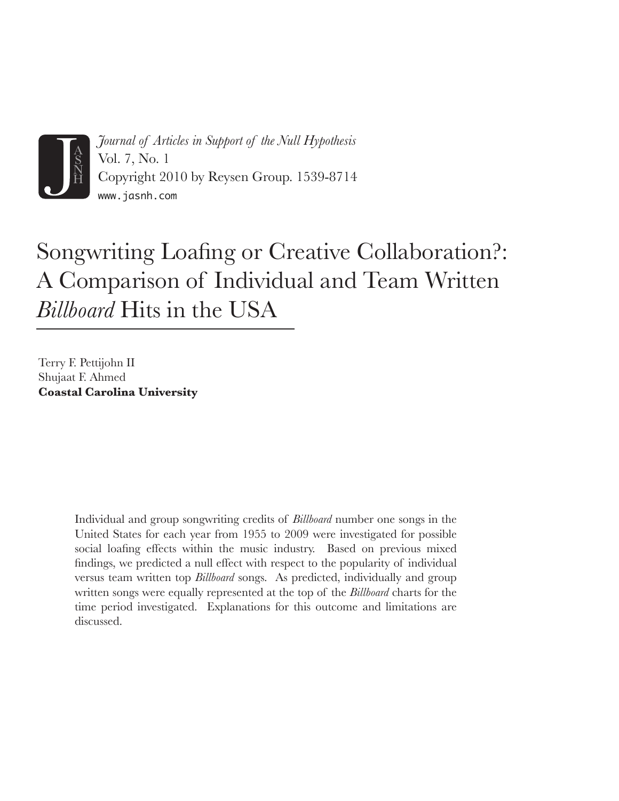

*Journal of Articles in Support of the Null Hypothesis* Vol. 7, No. 1 Copyright 2010 by Reysen Group. 1539-8714 www.jasnh.com

# Songwriting Loafing or Creative Collaboration?: A Comparison of Individual and Team Written *Billboard* Hits in the USA

Terry F. Pettijohn II Shujaat F. Ahmed **Coastal Carolina University**

> Individual and group songwriting credits of *Billboard* number one songs in the United States for each year from 1955 to 2009 were investigated for possible social loafing effects within the music industry. Based on previous mixed findings, we predicted a null effect with respect to the popularity of individual versus team written top *Billboard* songs. As predicted, individually and group written songs were equally represented at the top of the *Billboard* charts for the time period investigated. Explanations for this outcome and limitations are discussed.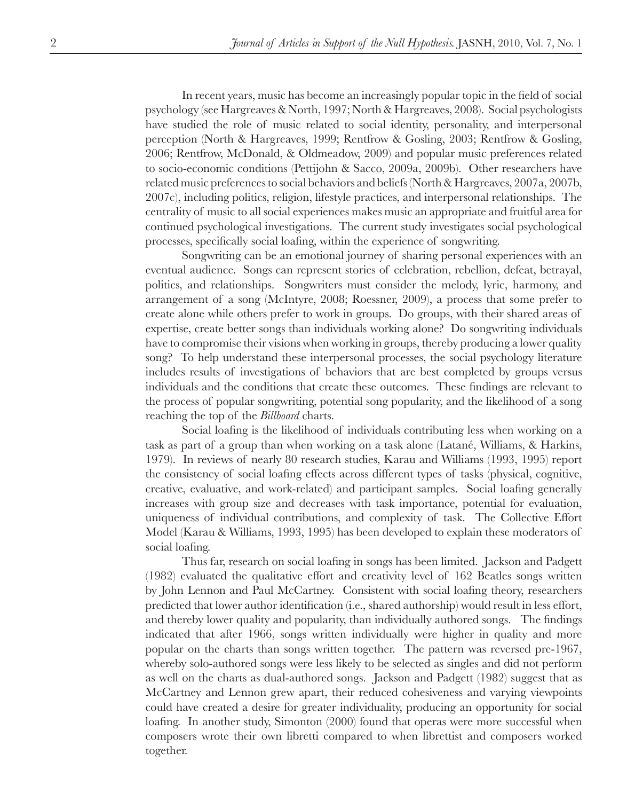In recent years, music has become an increasingly popular topic in the field of social psychology (see Hargreaves & North, 1997; North & Hargreaves, 2008). Social psychologists have studied the role of music related to social identity, personality, and interpersonal perception (North & Hargreaves, 1999; Rentfrow & Gosling, 2003; Rentfrow & Gosling, 2006; Rentfrow, McDonald, & Oldmeadow, 2009) and popular music preferences related to socio-economic conditions (Pettijohn & Sacco, 2009a, 2009b). Other researchers have related music preferences to social behaviors and beliefs (North & Hargreaves, 2007a, 2007b, 2007c), including politics, religion, lifestyle practices, and interpersonal relationships. The centrality of music to all social experiences makes music an appropriate and fruitful area for continued psychological investigations. The current study investigates social psychological processes, specifically social loafing, within the experience of songwriting.

Songwriting can be an emotional journey of sharing personal experiences with an eventual audience. Songs can represent stories of celebration, rebellion, defeat, betrayal, politics, and relationships. Songwriters must consider the melody, lyric, harmony, and arrangement of a song (McIntyre, 2008; Roessner, 2009), a process that some prefer to create alone while others prefer to work in groups. Do groups, with their shared areas of expertise, create better songs than individuals working alone? Do songwriting individuals have to compromise their visions when working in groups, thereby producing a lower quality song? To help understand these interpersonal processes, the social psychology literature includes results of investigations of behaviors that are best completed by groups versus individuals and the conditions that create these outcomes. These findings are relevant to the process of popular songwriting, potential song popularity, and the likelihood of a song reaching the top of the *Billboard* charts.

Social loafing is the likelihood of individuals contributing less when working on a task as part of a group than when working on a task alone (Latané, Williams, & Harkins, 1979). In reviews of nearly 80 research studies, Karau and Williams (1993, 1995) report the consistency of social loafing effects across different types of tasks (physical, cognitive, creative, evaluative, and work-related) and participant samples. Social loafing generally increases with group size and decreases with task importance, potential for evaluation, uniqueness of individual contributions, and complexity of task. The Collective Effort Model (Karau & Williams, 1993, 1995) has been developed to explain these moderators of social loafing.

Thus far, research on social loafing in songs has been limited. Jackson and Padgett (1982) evaluated the qualitative effort and creativity level of 162 Beatles songs written by John Lennon and Paul McCartney. Consistent with social loafing theory, researchers predicted that lower author identification (i.e., shared authorship) would result in less effort, and thereby lower quality and popularity, than individually authored songs. The findings indicated that after 1966, songs written individually were higher in quality and more popular on the charts than songs written together. The pattern was reversed pre-1967, whereby solo-authored songs were less likely to be selected as singles and did not perform as well on the charts as dual-authored songs. Jackson and Padgett (1982) suggest that as McCartney and Lennon grew apart, their reduced cohesiveness and varying viewpoints could have created a desire for greater individuality, producing an opportunity for social loafing. In another study, Simonton (2000) found that operas were more successful when composers wrote their own libretti compared to when librettist and composers worked together.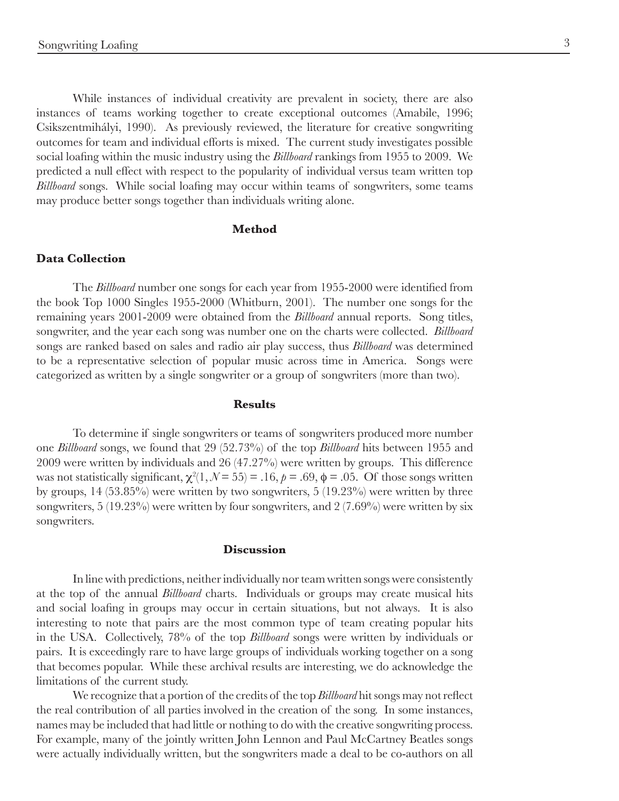While instances of individual creativity are prevalent in society, there are also instances of teams working together to create exceptional outcomes (Amabile, 1996; Csikszentmihályi, 1990). As previously reviewed, the literature for creative songwriting outcomes for team and individual efforts is mixed. The current study investigates possible social loafing within the music industry using the *Billboard* rankings from 1955 to 2009. We predicted a null effect with respect to the popularity of individual versus team written top *Billboard* songs. While social loafing may occur within teams of songwriters, some teams may produce better songs together than individuals writing alone.

## **Method**

### **Data Collection**

The *Billboard* number one songs for each year from 1955-2000 were identified from the book Top 1000 Singles 1955-2000 (Whitburn, 2001). The number one songs for the remaining years 2001-2009 were obtained from the *Billboard* annual reports. Song titles, songwriter, and the year each song was number one on the charts were collected. *Billboard* songs are ranked based on sales and radio air play success, thus *Billboard* was determined to be a representative selection of popular music across time in America. Songs were categorized as written by a single songwriter or a group of songwriters (more than two).

#### **Results**

To determine if single songwriters or teams of songwriters produced more number one *Billboard* songs, we found that 29 (52.73%) of the top *Billboard* hits between 1955 and 2009 were written by individuals and 26 (47.27%) were written by groups. This difference was not statistically significant,  $\chi^2(1, \mathcal{N} = 55) = .16$ ,  $p = .69$ ,  $\phi = .05$ . Of those songs written by groups,  $14$  (53.85%) were written by two songwriters, 5 (19.23%) were written by three songwriters,  $5 (19.23\%)$  were written by four songwriters, and  $2 (7.69\%)$  were written by six songwriters.

## **Discussion**

In line with predictions, neither individually nor team written songs were consistently at the top of the annual *Billboard* charts. Individuals or groups may create musical hits and social loafing in groups may occur in certain situations, but not always. It is also interesting to note that pairs are the most common type of team creating popular hits in the USA. Collectively, 78% of the top *Billboard* songs were written by individuals or pairs. It is exceedingly rare to have large groups of individuals working together on a song that becomes popular. While these archival results are interesting, we do acknowledge the limitations of the current study.

We recognize that a portion of the credits of the top *Billboard* hit songs may not reflect the real contribution of all parties involved in the creation of the song. In some instances, names may be included that had little or nothing to do with the creative songwriting process. For example, many of the jointly written John Lennon and Paul McCartney Beatles songs were actually individually written, but the songwriters made a deal to be co-authors on all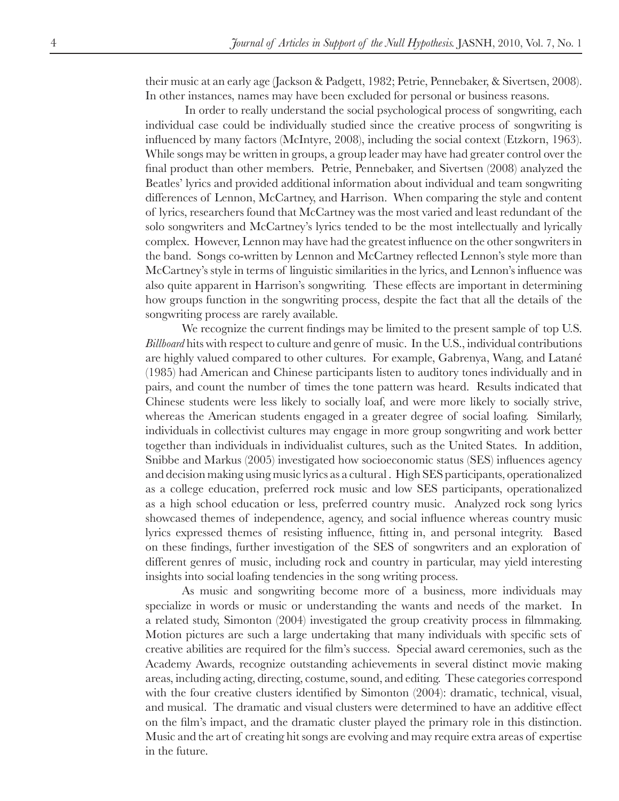their music at an early age (Jackson & Padgett, 1982; Petrie, Pennebaker, & Sivertsen, 2008). In other instances, names may have been excluded for personal or business reasons.

 In order to really understand the social psychological process of songwriting, each individual case could be individually studied since the creative process of songwriting is influenced by many factors (McIntyre, 2008), including the social context (Etzkorn, 1963). While songs may be written in groups, a group leader may have had greater control over the final product than other members. Petrie, Pennebaker, and Sivertsen (2008) analyzed the Beatles' lyrics and provided additional information about individual and team songwriting differences of Lennon, McCartney, and Harrison. When comparing the style and content of lyrics, researchers found that McCartney was the most varied and least redundant of the solo songwriters and McCartney's lyrics tended to be the most intellectually and lyrically complex. However, Lennon may have had the greatest influence on the other songwriters in the band. Songs co-written by Lennon and McCartney reflected Lennon's style more than McCartney's style in terms of linguistic similarities in the lyrics, and Lennon's influence was also quite apparent in Harrison's songwriting. These effects are important in determining how groups function in the songwriting process, despite the fact that all the details of the songwriting process are rarely available.

We recognize the current findings may be limited to the present sample of top U.S. *Billboard* hits with respect to culture and genre of music. In the U.S., individual contributions are highly valued compared to other cultures. For example, Gabrenya, Wang, and Latané (1985) had American and Chinese participants listen to auditory tones individually and in pairs, and count the number of times the tone pattern was heard. Results indicated that Chinese students were less likely to socially loaf, and were more likely to socially strive, whereas the American students engaged in a greater degree of social loafing. Similarly, individuals in collectivist cultures may engage in more group songwriting and work better together than individuals in individualist cultures, such as the United States. In addition, Snibbe and Markus (2005) investigated how socioeconomic status (SES) influences agency and decision making using music lyrics as a cultural . High SES participants, operationalized as a college education, preferred rock music and low SES participants, operationalized as a high school education or less, preferred country music. Analyzed rock song lyrics showcased themes of independence, agency, and social influence whereas country music lyrics expressed themes of resisting influence, fitting in, and personal integrity. Based on these findings, further investigation of the SES of songwriters and an exploration of different genres of music, including rock and country in particular, may yield interesting insights into social loafing tendencies in the song writing process.

As music and songwriting become more of a business, more individuals may specialize in words or music or understanding the wants and needs of the market. In a related study, Simonton (2004) investigated the group creativity process in filmmaking. Motion pictures are such a large undertaking that many individuals with specific sets of creative abilities are required for the film's success. Special award ceremonies, such as the Academy Awards, recognize outstanding achievements in several distinct movie making areas, including acting, directing, costume, sound, and editing. These categories correspond with the four creative clusters identified by Simonton (2004): dramatic, technical, visual, and musical. The dramatic and visual clusters were determined to have an additive effect on the film's impact, and the dramatic cluster played the primary role in this distinction. Music and the art of creating hit songs are evolving and may require extra areas of expertise in the future.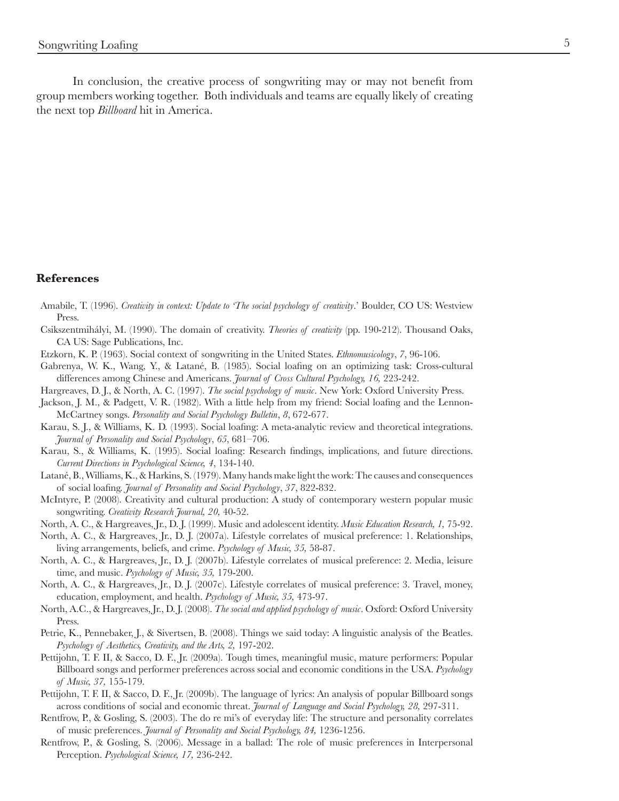In conclusion, the creative process of songwriting may or may not benefit from group members working together. Both individuals and teams are equally likely of creating the next top *Billboard* hit in America.

## **References**

- Amabile, T. (1996). *Creativity in context: Update to 'The social psychology of creativity*.' Boulder, CO US: Westview Press.
- Csikszentmihályi, M. (1990). The domain of creativity. *Theories of creativity* (pp. 190-212). Thousand Oaks, CA US: Sage Publications, Inc.
- Etzkorn, K. P. (1963). Social context of songwriting in the United States. *Ethnomusicology*, *7*, 96-106.
- Gabrenya, W. K., Wang, Y., & Latané, B. (1985). Social loafing on an optimizing task: Cross-cultural differences among Chinese and Americans. *Journal of Cross Cultural Psychology, 16,* 223-242.
- Hargreaves, D. J., & North, A. C. (1997). *The social psychology of music*. New York: Oxford University Press.
- Jackson, J. M., & Padgett, V. R. (1982). With a little help from my friend: Social loafing and the Lennon-McCartney songs. *Personality and Social Psychology Bulletin*, *8*, 672-677.
- Karau, S. J., & Williams, K. D. (1993). Social loafing: A meta-analytic review and theoretical integrations. *Journal of Personality and Social Psychology*, *65*, 681–706.
- Karau, S., & Williams, K. (1995). Social loafing: Research findings, implications, and future directions. *Current Directions in Psychological Science, 4*, 134-140.
- Latané, B., Williams, K., & Harkins, S. (1979). Many hands make light the work: The causes and consequences of social loafing. *Journal of Personality and Social Psychology*, *37*, 822-832.
- McIntyre, P. (2008). Creativity and cultural production: A study of contemporary western popular music songwriting. *Creativity Research Journal, 20,* 40-52.
- North, A. C., & Hargreaves, Jr., D. J. (1999). Music and adolescent identity. *Music Education Research, 1,* 75-92.
- North, A. C., & Hargreaves, Jr., D. J. (2007a). Lifestyle correlates of musical preference: 1. Relationships, living arrangements, beliefs, and crime. *Psychology of Music, 35,* 58-87.
- North, A. C., & Hargreaves, Jr., D. J. (2007b). Lifestyle correlates of musical preference: 2. Media, leisure time, and music. *Psychology of Music, 35,* 179-200.
- North, A. C., & Hargreaves, Jr., D. J. (2007c). Lifestyle correlates of musical preference: 3. Travel, money, education, employment, and health. *Psychology of Music, 35,* 473-97.
- North, A.C., & Hargreaves, Jr., D. J. (2008). *The social and applied psychology of music*. Oxford: Oxford University Press.
- Petrie, K., Pennebaker, J., & Sivertsen, B. (2008). Things we said today: A linguistic analysis of the Beatles. *Psychology of Aesthetics, Creativity, and the Arts, 2,* 197-202.
- Pettijohn, T. F. II, & Sacco, D. F., Jr. (2009a). Tough times, meaningful music, mature performers: Popular Billboard songs and performer preferences across social and economic conditions in the USA. *Psychology of Music, 37,* 155-179.
- Pettijohn, T. F. II, & Sacco, D. F., Jr. (2009b). The language of lyrics: An analysis of popular Billboard songs across conditions of social and economic threat. *Journal of Language and Social Psychology, 28,* 297-311.
- Rentfrow, P., & Gosling, S. (2003). The do re mi's of everyday life: The structure and personality correlates of music preferences. *Journal of Personality and Social Psychology, 84,* 1236-1256.
- Rentfrow, P., & Gosling, S. (2006). Message in a ballad: The role of music preferences in Interpersonal Perception. *Psychological Science, 17,* 236-242.